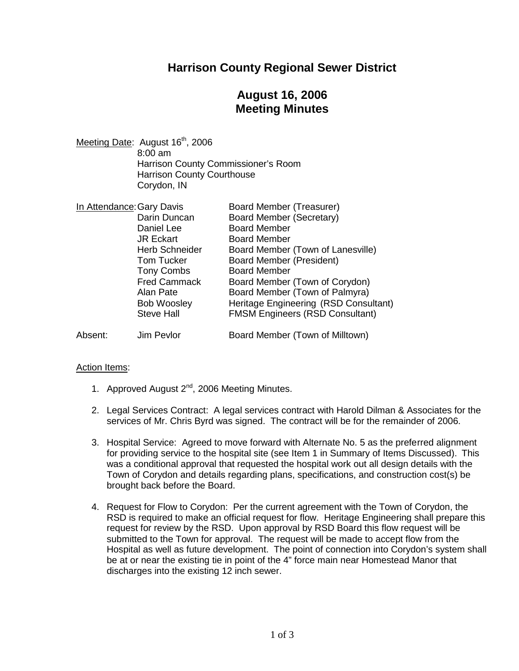### **Harrison County Regional Sewer District**

## **August 16, 2006 Meeting Minutes**

Meeting Date: August 16<sup>th</sup>, 2006 8:00 am Harrison County Commissioner's Room Harrison County Courthouse Corydon, IN

| In Attendance: Gary Davis |                       | <b>Board Member (Treasurer)</b>        |
|---------------------------|-----------------------|----------------------------------------|
|                           | Darin Duncan          | <b>Board Member (Secretary)</b>        |
|                           | Daniel Lee            | <b>Board Member</b>                    |
|                           | <b>JR Eckart</b>      | <b>Board Member</b>                    |
|                           | <b>Herb Schneider</b> | Board Member (Town of Lanesville)      |
|                           | <b>Tom Tucker</b>     | Board Member (President)               |
|                           | <b>Tony Combs</b>     | <b>Board Member</b>                    |
|                           | <b>Fred Cammack</b>   | Board Member (Town of Corydon)         |
|                           | Alan Pate             | Board Member (Town of Palmyra)         |
|                           | <b>Bob Woosley</b>    | Heritage Engineering (RSD Consultant)  |
|                           | <b>Steve Hall</b>     | <b>FMSM Engineers (RSD Consultant)</b> |
| Absent:                   | Jim Pevlor            | Board Member (Town of Milltown)        |

#### Action Items:

- 1. Approved August 2<sup>nd</sup>, 2006 Meeting Minutes.
- 2. Legal Services Contract: A legal services contract with Harold Dilman & Associates for the services of Mr. Chris Byrd was signed. The contract will be for the remainder of 2006.
- 3. Hospital Service: Agreed to move forward with Alternate No. 5 as the preferred alignment for providing service to the hospital site (see Item 1 in Summary of Items Discussed). This was a conditional approval that requested the hospital work out all design details with the Town of Corydon and details regarding plans, specifications, and construction cost(s) be brought back before the Board.
- 4. Request for Flow to Corydon: Per the current agreement with the Town of Corydon, the RSD is required to make an official request for flow. Heritage Engineering shall prepare this request for review by the RSD. Upon approval by RSD Board this flow request will be submitted to the Town for approval. The request will be made to accept flow from the Hospital as well as future development. The point of connection into Corydon's system shall be at or near the existing tie in point of the 4" force main near Homestead Manor that discharges into the existing 12 inch sewer.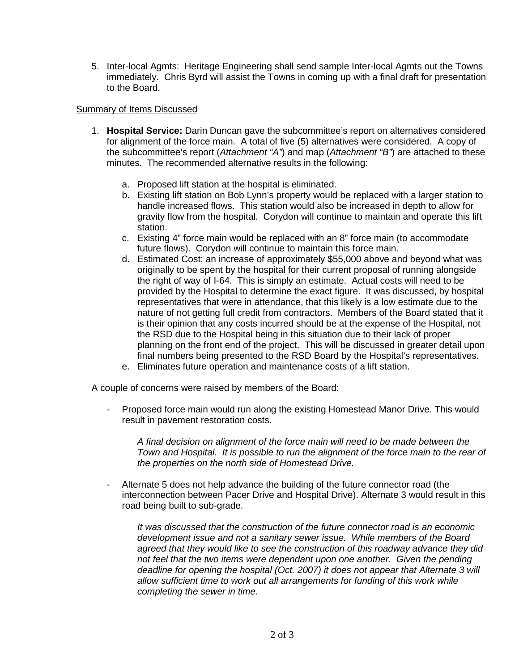5. Inter-local Agmts: Heritage Engineering shall send sample Inter-local Agmts out the Towns immediately. Chris Byrd will assist the Towns in coming up with a final draft for presentation to the Board.

#### Summary of Items Discussed

- 1. **Hospital Service:** Darin Duncan gave the subcommittee's report on alternatives considered for alignment of the force main. A total of five (5) alternatives were considered. A copy of the subcommittee's report (*Attachment "A"*) and map (*Attachment "B"*) are attached to these minutes. The recommended alternative results in the following:
	- a. Proposed lift station at the hospital is eliminated.
	- b. Existing lift station on Bob Lynn's property would be replaced with a larger station to handle increased flows. This station would also be increased in depth to allow for gravity flow from the hospital. Corydon will continue to maintain and operate this lift station.
	- c. Existing 4" force main would be replaced with an 8" force main (to accommodate future flows). Corydon will continue to maintain this force main.
	- d. Estimated Cost: an increase of approximately \$55,000 above and beyond what was originally to be spent by the hospital for their current proposal of running alongside the right of way of I-64. This is simply an estimate. Actual costs will need to be provided by the Hospital to determine the exact figure. It was discussed, by hospital representatives that were in attendance, that this likely is a low estimate due to the nature of not getting full credit from contractors. Members of the Board stated that it is their opinion that any costs incurred should be at the expense of the Hospital, not the RSD due to the Hospital being in this situation due to their lack of proper planning on the front end of the project. This will be discussed in greater detail upon final numbers being presented to the RSD Board by the Hospital's representatives.
	- e. Eliminates future operation and maintenance costs of a lift station.

A couple of concerns were raised by members of the Board:

- Proposed force main would run along the existing Homestead Manor Drive. This would result in pavement restoration costs.

*A final decision on alignment of the force main will need to be made between the Town and Hospital. It is possible to run the alignment of the force main to the rear of the properties on the north side of Homestead Drive.*

- Alternate 5 does not help advance the building of the future connector road (the interconnection between Pacer Drive and Hospital Drive). Alternate 3 would result in this road being built to sub-grade.

*It was discussed that the construction of the future connector road is an economic development issue and not a sanitary sewer issue. While members of the Board agreed that they would like to see the construction of this roadway advance they did not feel that the two items were dependant upon one another. Given the pending deadline for opening the hospital (Oct. 2007) it does not appear that Alternate 3 will allow sufficient time to work out all arrangements for funding of this work while completing the sewer in time.*